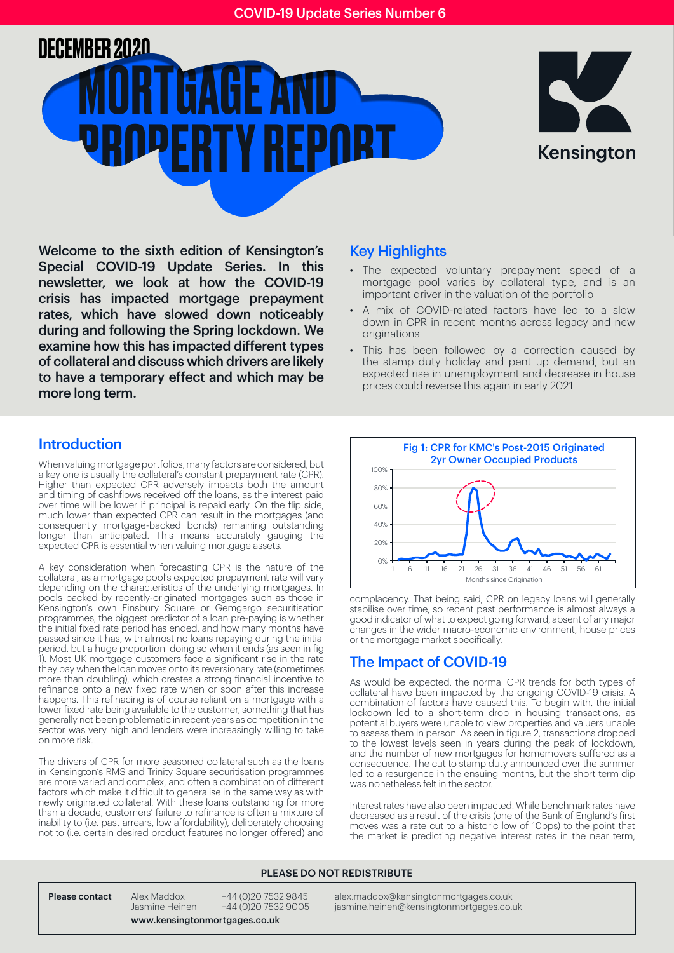# **MORTGAGE AND** PROPERTY REPORT DECEMBER 2020



Welcome to the sixth edition of Kensington's Special COVID-19 Update Series. In this newsletter, we look at how the COVID-19 crisis has impacted mortgage prepayment rates, which have slowed down noticeably during and following the Spring lockdown. We examine how this has impacted different types of collateral and discuss which drivers are likely to have a temporary effect and which may be more long term.

## Introduction

When valuing mortgage portfolios, many factors are considered, but a key one is usually the collateral's constant prepayment rate (CPR). Higher than expected CPR adversely impacts both the amount and timing of cashflows received off the loans, as the interest paid over time will be lower if principal is repaid early. On the flip side, much lower than expected CPR can result in the mortgages (and consequently mortgage-backed bonds) remaining outstanding longer than anticipated. This means accurately gauging the expected CPR is essential when valuing mortgage assets.

A key consideration when forecasting CPR is the nature of the collateral, as a mortgage pool's expected prepayment rate will vary depending on the characteristics of the underlying mortgages. In pools backed by recently-originated mortgages such as those in Kensington's own Finsbury Square or Gemgargo securitisation programmes, the biggest predictor of a loan pre-paying is whether the initial fixed rate period has ended, and how many months have passed since it has, with almost no loans repaying during the initial period, but a huge proportion doing so when it ends (as seen in fig 1). Most UK mortgage customers face a significant rise in the rate they pay when the loan moves onto its reversionary rate (sometimes more than doubling), which creates a strong financial incentive to refinance onto a new fixed rate when or soon after this increase happens. This refinacing is of course reliant on a mortgage with a lower fixed rate being available to the customer, something that has generally not been problematic in recent years as competition in the sector was very high and lenders were increasingly willing to take on more risk.

The drivers of CPR for more seasoned collateral such as the loans in Kensington's RMS and Trinity Square securitisation programmes are more varied and complex, and often a combination of different factors which make it difficult to generalise in the same way as with newly originated collateral. With these loans outstanding for more than a decade, customers' failure to refinance is often a mixture of inability to (i.e. past arrears, low affordability), deliberately choosing not to (i.e. certain desired product features no longer offered) and

### Key Highlights

- The expected voluntary prepayment speed of a mortgage pool varies by collateral type, and is an important driver in the valuation of the portfolio
- A mix of COVID-related factors have led to a slow down in CPR in recent months across legacy and new originations
- This has been followed by a correction caused by the stamp duty holiday and pent up demand, but an expected rise in unemployment and decrease in house prices could reverse this again in early 2021



complacency. That being said, CPR on legacy loans will generally stabilise over time, so recent past performance is almost always a good indicator of what to expect going forward, absent of any major changes in the wider macro-economic environment, house prices or the mortgage market specifically.

# The Impact of COVID-19

As would be expected, the normal CPR trends for both types of collateral have been impacted by the ongoing COVID-19 crisis. A combination of factors have caused this. To begin with, the initial lockdown led to a short-term drop in housing transactions, as potential buyers were unable to view properties and valuers unable to assess them in person. As seen in figure 2, transactions dropped to the lowest levels seen in years during the peak of lockdown, and the number of new mortgages for homemovers suffered as a consequence. The cut to stamp duty announced over the summer led to a resurgence in the ensuing months, but the short term dip was nonetheless felt in the sector.

Interest rates have also been impacted. While benchmark rates have decreased as a result of the crisis (one of the Bank of England's first moves was a rate cut to a historic low of 10bps) to the point that the market is predicting negative interest rates in the near term,

#### PLEASE DO NOT REDISTRIBUTE

www.kensingtonmortgages.co.uk

Please contact Alex Maddox +44 (0)20 7532 9845 alex.maddox@kensingtonmortgages.co.uk<br>Dasmine Heinen +44 (0)20 7532 9005 iasmine.heinen@kensingtonmortgages.co.uk Jasmine Heinen +44 (0)20 7532 9005 jasmine.heinen@kensingtonmortgages.co.uk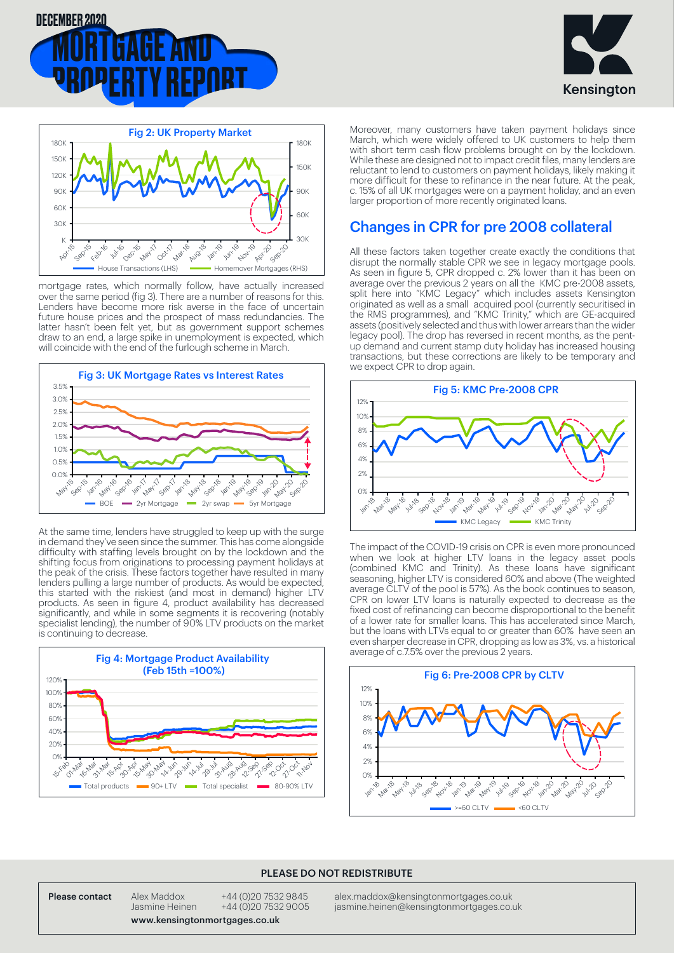





mortgage rates, which normally follow, have actually increased over the same period (fig 3). There are a number of reasons for this. Lenders have become more risk averse in the face of uncertain future house prices and the prospect of mass redundancies. The latter hasn't been felt yet, but as government support schemes draw to an end, a large spike in unemployment is expected, which will coincide with the end of the furlough scheme in March.



At the same time, lenders have struggled to keep up with the surge in demand they've seen since the summer. This has come alongside difficulty with staffing levels brought on by the lockdown and the shifting focus from originations to processing payment holidays at the peak of the crisis. These factors together have resulted in many lenders pulling a large number of products. As would be expected, this started with the riskiest (and most in demand) higher LTV products. As seen in figure 4, product availability has decreased significantly, and while in some segments it is recovering (notably specialist lending), the number of 90% LTV products on the market is continuing to decrease.



Moreover, many customers have taken payment holidays since March, which were widely offered to UK customers to help them with short term cash flow problems brought on by the lockdown. While these are designed not to impact credit files, many lenders are reluctant to lend to customers on payment holidays, likely making it more difficult for these to refinance in the near future. At the peak, c. 15% of all UK mortgages were on a payment holiday, and an even larger proportion of more recently originated loans.

# Changes in CPR for pre 2008 collateral

All these factors taken together create exactly the conditions that disrupt the normally stable CPR we see in legacy mortgage pools. As seen in figure 5, CPR dropped c. 2% lower than it has been on average over the previous 2 years on all the KMC pre-2008 assets, split here into "KMC Legacy" which includes assets Kensington originated as well as a small acquired pool (currently securitised in the RMS programmes), and "KMC Trinity," which are GE-acquired assets (positively selected and thus with lower arrears than the wider legacy pool). The drop has reversed in recent months, as the pentup demand and current stamp duty holiday has increased housing transactions, but these corrections are likely to be temporary and we expect CPR to drop again.



The impact of the COVID-19 crisis on CPR is even more pronounced when we look at higher LTV loans in the legacy asset pools (combined KMC and Trinity). As these loans have significant seasoning, higher LTV is considered 60% and above (The weighted average CLTV of the pool is 57%). As the book continues to season, CPR on lower LTV loans is naturally expected to decrease as the fixed cost of refinancing can become disproportional to the benefit of a lower rate for smaller loans. This has accelerated since March, but the loans with LTVs equal to or greater than 60% have seen an even sharper decrease in CPR, dropping as low as 3%, vs. a historical



#### PLEASE DO NOT REDISTRIBUTE

Please contact Alex Maddox +44 (0)20 7532 9845 alex.maddox@kensingtonmortgages.co.uk<br>Jasmine Heinen +44 (0)20 7532 9005 jasmine.heinen@kensingtonmortgages.co. jasmine heinen @kensingtonmortgages.co.uk

www.kensingtonmortgages.co.uk